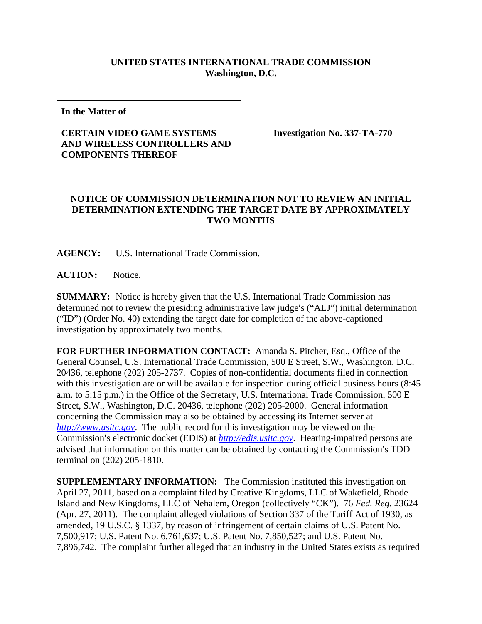## **UNITED STATES INTERNATIONAL TRADE COMMISSION Washington, D.C.**

**In the Matter of** 

## **CERTAIN VIDEO GAME SYSTEMS AND WIRELESS CONTROLLERS AND COMPONENTS THEREOF**

**Investigation No. 337-TA-770** 

## **NOTICE OF COMMISSION DETERMINATION NOT TO REVIEW AN INITIAL DETERMINATION EXTENDING THE TARGET DATE BY APPROXIMATELY TWO MONTHS**

**AGENCY:** U.S. International Trade Commission.

**ACTION:** Notice.

**SUMMARY:** Notice is hereby given that the U.S. International Trade Commission has determined not to review the presiding administrative law judge's ("ALJ") initial determination ("ID") (Order No. 40) extending the target date for completion of the above-captioned investigation by approximately two months.

**FOR FURTHER INFORMATION CONTACT:** Amanda S. Pitcher, Esq., Office of the General Counsel, U.S. International Trade Commission, 500 E Street, S.W., Washington, D.C. 20436, telephone (202) 205-2737. Copies of non-confidential documents filed in connection with this investigation are or will be available for inspection during official business hours (8:45 a.m. to 5:15 p.m.) in the Office of the Secretary, U.S. International Trade Commission, 500 E Street, S.W., Washington, D.C. 20436, telephone (202) 205-2000. General information concerning the Commission may also be obtained by accessing its Internet server at *http://www.usitc.gov*. The public record for this investigation may be viewed on the Commission's electronic docket (EDIS) at *http://edis.usitc.gov*. Hearing-impaired persons are advised that information on this matter can be obtained by contacting the Commission's TDD terminal on (202) 205-1810.

**SUPPLEMENTARY INFORMATION:** The Commission instituted this investigation on April 27, 2011, based on a complaint filed by Creative Kingdoms, LLC of Wakefield, Rhode Island and New Kingdoms, LLC of Nehalem, Oregon (collectively "CK"). 76 *Fed. Reg.* 23624 (Apr. 27, 2011). The complaint alleged violations of Section 337 of the Tariff Act of 1930, as amended, 19 U.S.C. § 1337, by reason of infringement of certain claims of U.S. Patent No. 7,500,917; U.S. Patent No. 6,761,637; U.S. Patent No. 7,850,527; and U.S. Patent No. 7,896,742. The complaint further alleged that an industry in the United States exists as required